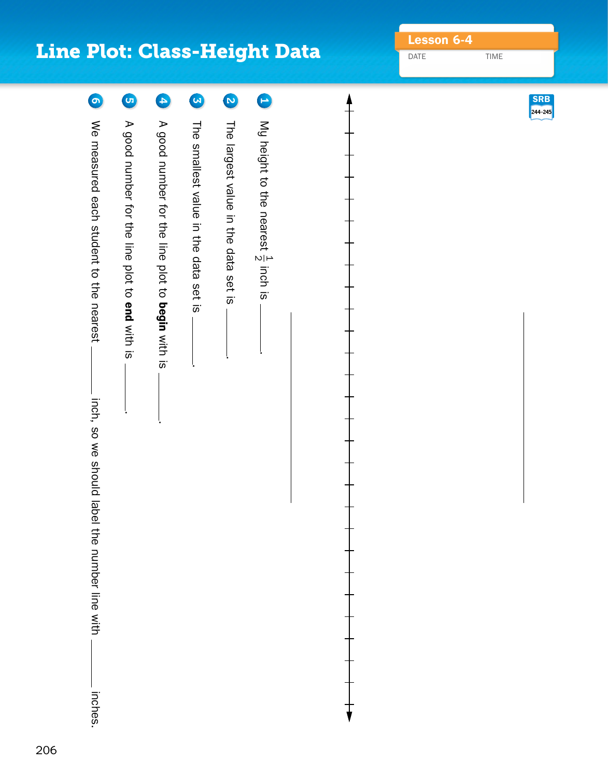